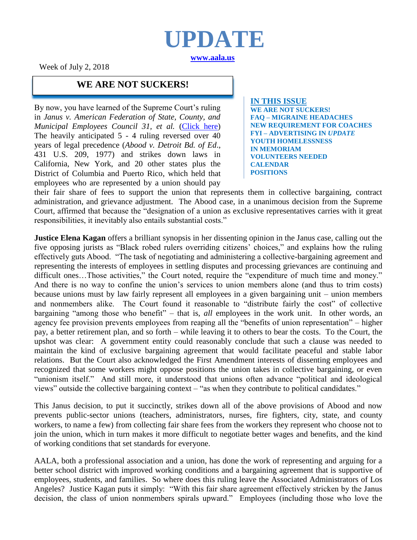

Week of July 2, 2018

#### **WE ARE NOT SUCKERS!**

By now, you have learned of the Supreme Court's ruling in *Janus v. American Federation of State, County, and Municipal Employees Council 31, et al.* [\(Click here\)](http://www.aala.us/docs/2018/06/jANUS.pdf) The heavily anticipated 5 - 4 ruling reversed over 40 years of legal precedence (*Abood v. Detroit Bd. of Ed*., 431 U.S. 209, 1977) and strikes down laws in California, New York, and 20 other states plus the District of Columbia and Puerto Rico, which held that employees who are represented by a union should pay

**IN THIS ISSUE WE ARE NOT SUCKERS! FAQ – MIGRAINE HEADACHES NEW REQUIREMENT FOR COACHES FYI – ADVERTISING IN** *UPDATE* **YOUTH HOMELESSNESS IN MEMORIAM VOLUNTEERS NEEDED CALENDAR POSITIONS**

their fair share of fees to support the union that represents them in collective bargaining, contract administration, and grievance adjustment. The Abood case, in a unanimous decision from the Supreme Court, affirmed that because the "designation of a union as exclusive representatives carries with it great responsibilities, it inevitably also entails substantial costs."

**Justice Elena Kagan** offers a brilliant synopsis in her dissenting opinion in the Janus case, calling out the five opposing jurists as "Black robed rulers overriding citizens' choices," and explains how the ruling effectively guts Abood. "The task of negotiating and administering a collective-bargaining agreement and representing the interests of employees in settling disputes and processing grievances are continuing and difficult ones...Those activities," the Court noted, require the "expenditure of much time and money." And there is no way to confine the union's services to union members alone (and thus to trim costs) because unions must by law fairly represent all employees in a given bargaining unit – union members and nonmembers alike. The Court found it reasonable to "distribute fairly the cost" of collective bargaining "among those who benefit" – that is, *all* employees in the work unit. In other words, an agency fee provision prevents employees from reaping all the "benefits of union representation" – higher pay, a better retirement plan, and so forth – while leaving it to others to bear the costs. To the Court, the upshot was clear: A government entity could reasonably conclude that such a clause was needed to maintain the kind of exclusive bargaining agreement that would facilitate peaceful and stable labor relations. But the Court also acknowledged the First Amendment interests of dissenting employees and recognized that some workers might oppose positions the union takes in collective bargaining, or even "unionism itself." And still more, it understood that unions often advance "political and ideological views" outside the collective bargaining context – "as when they contribute to political candidates."

This Janus decision, to put it succinctly, strikes down all of the above provisions of Abood and now prevents public-sector unions (teachers, administrators, nurses, fire fighters, city, state, and county workers, to name a few) from collecting fair share fees from the workers they represent who choose not to join the union, which in turn makes it more difficult to negotiate better wages and benefits, and the kind of working conditions that set standards for everyone.

AALA, both a professional association and a union, has done the work of representing and arguing for a better school district with improved working conditions and a bargaining agreement that is supportive of employees, students, and families. So where does this ruling leave the Associated Administrators of Los Angeles? Justice Kagan puts it simply: "With this fair share agreement effectively stricken by the Janus decision, the class of union nonmembers spirals upward." Employees (including those who love the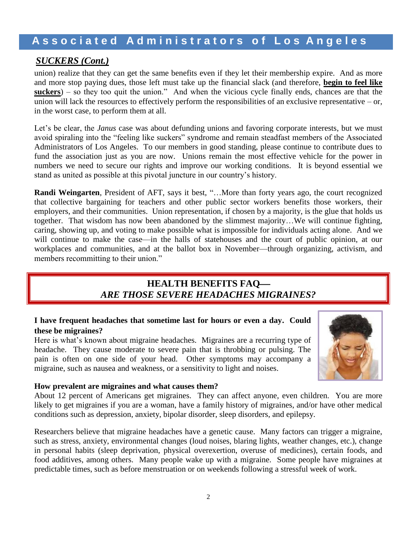#### *SUCKERS (Cont.)*

union) realize that they can get the same benefits even if they let their membership expire. And as more and more stop paying dues, those left must take up the financial slack (and therefore, **begin to feel like suckers**) – so they too quit the union." And when the vicious cycle finally ends, chances are that the union will lack the resources to effectively perform the responsibilities of an exclusive representative – or, in the worst case, to perform them at all.

Let's be clear, the *Janus* case was about defunding unions and favoring corporate interests, but we must avoid spiraling into the "feeling like suckers" syndrome and remain steadfast members of the Associated Administrators of Los Angeles. To our members in good standing, please continue to contribute dues to fund the association just as you are now. Unions remain the most effective vehicle for the power in numbers we need to secure our rights and improve our working conditions. It is beyond essential we stand as united as possible at this pivotal juncture in our country's history.

**Randi Weingarten**, President of AFT, says it best, "…More than forty years ago, the court recognized that collective bargaining for teachers and other public sector workers benefits those workers, their employers, and their communities. Union representation, if chosen by a majority, is the glue that holds us together. That wisdom has now been abandoned by the slimmest majority…We will continue fighting, caring, showing up, and voting to make possible what is impossible for individuals acting alone. And we will continue to make the case—in the halls of statehouses and the court of public opinion, at our workplaces and communities, and at the ballot box in November—through organizing, activism, and members recommitting to their union."

### **HEALTH BENEFITS FAQ** *ARE THOSE SEVERE HEADACHES MIGRAINES?*

#### **I have frequent headaches that sometime last for hours or even a day. Could these be migraines?**

Here is what's known about migraine headaches. Migraines are a recurring type of headache. They cause moderate to severe pain that is throbbing or pulsing. The pain is often on one side of your head. Other symptoms may accompany a migraine, such as nausea and weakness, or a sensitivity to light and noises.

#### **How prevalent are migraines and what causes them?**

About 12 percent of Americans get migraines. They can affect anyone, even children. You are more likely to get migraines if you are a woman, have a family history of migraines, and/or have other medical conditions such as [depression,](https://medlineplus.gov/depression.html) [anxiety,](https://medlineplus.gov/anxiety.html) bipolar [disorder,](https://medlineplus.gov/bipolardisorder.html) sleep [disorders,](https://medlineplus.gov/sleepdisorders.html) and [epilepsy.](https://medlineplus.gov/epilepsy.html)

Researchers believe that migraine headaches have a genetic cause. Many factors can trigger a migraine, such as [stress,](https://medlineplus.gov/stress.html) anxiety, environmental changes (loud noises, blaring lights, weather changes, etc.), change in personal habits (sleep deprivation, physical overexertion, overuse of medicines), certain foods, and food additives, among others. Many people wake up with a migraine. Some people have migraines at predictable times, such as before menstruation or on weekends following a stressful week of work.

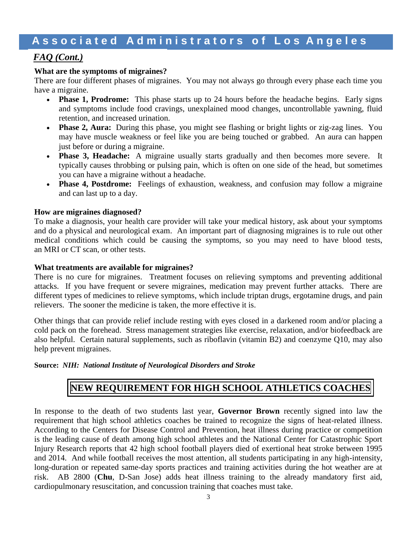#### *FAQ (Cont.)*

#### **What are the symptoms of migraines?**

There are four different phases of migraines. You may not always go through every phase each time you have a migraine.

- **Phase 1, Prodrome:** This phase starts up to 24 hours before the headache begins. Early signs and symptoms include food cravings, unexplained mood changes, uncontrollable yawning, fluid retention, and increased urination.
- **Phase 2, Aura:** During this phase, you might see flashing or bright lights or zig-zag lines. You may have muscle weakness or feel like you are being touched or grabbed. An aura can happen just before or during a migraine.
- **Phase 3, Headache:** A migraine usually starts gradually and then becomes more severe. It typically causes throbbing or pulsing pain, which is often on one side of the head, but sometimes you can have a migraine without a headache.
- **Phase 4, Postdrome:** Feelings of exhaustion, weakness, and confusion may follow a migraine and can last up to a day.

#### **How are migraines diagnosed?**

To make a diagnosis, your health care provider will take your medical history, ask about your symptoms and do a physical and neurological exam. An important part of diagnosing migraines is to rule out other medical conditions which could be causing the symptoms, so you may need to have blood tests, an [MRI](https://medlineplus.gov/mriscans.html) or [CT](https://medlineplus.gov/ctscans.html) scan, or other tests.

#### **What treatments are available for migraines?**

There is no cure for migraines. Treatment focuses on relieving symptoms and preventing additional attacks. If you have frequent or severe migraines, medication may prevent further attacks. There are different types of medicines to relieve symptoms, which include triptan drugs, ergotamine drugs, and [pain](https://medlineplus.gov/painrelievers.html) [relievers.](https://medlineplus.gov/painrelievers.html) The sooner the medicine is taken, the more effective it is.

Other things that can provide relief include resting with eyes closed in a darkened room and/or placing a cold pack on the forehead. Stress management strategies like exercise, relaxation, and/or biofeedback are also helpful. Certain natural supplements, such as riboflavin (vitamin B2) and coenzyme Q10, may also help prevent migraines.

#### **Source:** *NIH: National Institute of Neurological Disorders and Stroke*

### **NEW REQUIREMENT FOR HIGH SCHOOL ATHLETICS COACHES**

In response to the death of two students last year, **Governor Brown** recently signed into law the requirement that high school athletics coaches be trained to recognize the signs of heat-related illness. According to the Centers for Disease Control and Prevention, heat illness during practice or competition is the leading cause of death among high school athletes and the National Center for Catastrophic Sport Injury Research reports that 42 high school football players died of exertional heat stroke between 1995 and 2014. And while football receives the most attention, all students participating in any high-intensity, long-duration or repeated same-day sports practices and training activities during the hot weather are at risk. AB 2800 (**Chu**, D-San Jose) adds heat illness training to the already mandatory first aid, cardiopulmonary resuscitation, and concussion training that coaches must take.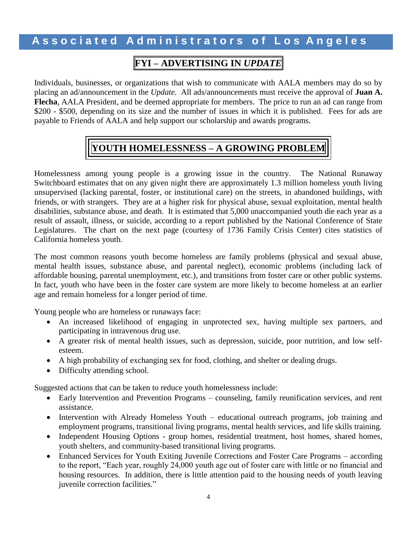### **FYI – ADVERTISING IN** *UPDATE*

Individuals, businesses, or organizations that wish to communicate with AALA members may do so by placing an ad/announcement in the *Update.* All ads/announcements must receive the approval of **Juan A. Flecha**, AALA President, and be deemed appropriate for members. The price to run an ad can range from \$200 - \$500, depending on its size and the number of issues in which it is published. Fees for ads are payable to Friends of AALA and help support our scholarship and awards programs.

## **YOUTH HOMELESSNESS – A GROWING PROBLEM**

Homelessness among young people is a growing issue in the country. The National Runaway Switchboard estimates that on any given night there are approximately 1.3 million homeless youth living unsupervised (lacking parental, foster, or institutional care) on the streets, in abandoned buildings, with friends, or with strangers. They are at a higher risk for physical abuse, sexual exploitation, mental health disabilities, substance abuse, and death. It is estimated that 5,000 unaccompanied youth die each year as a result of assault, illness, or suicide, according to a report published by the National Conference of State Legislatures. The chart on the next page (courtesy of 1736 Family Crisis Center) cites statistics of California homeless youth.

The most common reasons youth become homeless are family problems (physical and sexual abuse, mental health issues, substance abuse, and parental neglect), economic problems (including lack of affordable housing, parental unemployment, etc.), and transitions from foster care or other public systems. In fact, youth who have been in the foster care system are more likely to become homeless at an earlier age and remain homeless for a longer period of time.

Young people who are homeless or runaways face:

- An increased likelihood of engaging in unprotected sex, having multiple sex partners, and participating in intravenous drug use.
- A greater risk of mental health issues, such as depression, suicide, poor nutrition, and low selfesteem.
- A high probability of exchanging sex for food, clothing, and shelter or dealing drugs.
- Difficulty attending school.

Suggested actions that can be taken to reduce youth homelessness include:

- Early Intervention and Prevention Programs counseling, family reunification services, and rent assistance.
- Intervention with Already Homeless Youth educational outreach programs, job training and employment programs, transitional living programs, mental health services, and life skills training.
- Independent Housing Options group homes, residential treatment, host homes, shared homes, youth shelters, and community-based transitional living programs.
- Enhanced Services for Youth Exiting Juvenile Corrections and Foster Care Programs according to the report, "Each year, roughly 24,000 youth age out of foster care with little or no financial and housing resources. In addition, there is little attention paid to the housing needs of youth leaving juvenile correction facilities."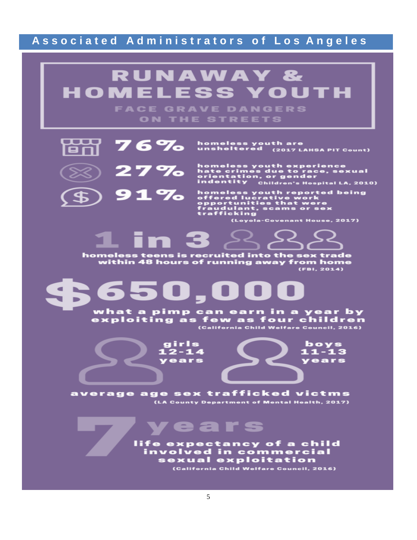# **RUNAWAY & HOMELESS YOUTH**

**FACE GRAVE DANGERS** ON THE STREETS



homeless youth are<br>unsheltered <sub>(2017 LAHSA PIT Count)</sub>



homeless youth experience<br>hate crimes due to race, sexual<br>orientation, or gender<br>indentity - <sub>Children's Hospital LA, 2010)</sub>

homeless youth reported being<br>offered lucrative work<br>opportunities that were<br>fraudulant, scams or sex<br>trafficking

(Loyola-Covenant House, 2017)

homeless teens is recruited into the sex trade<br>within 48 hours of running away from home  $(FB1, 2014)$ 

what a pimp can earn in a year by<br>exploiting as few as four children<br>California Child Welfare Council, 2016)

girls  $12 - 14$ years

boys<br>11-13 years

average age sex trafficked victms (LA County Department of Mental Health, 2017)

ears

life expectancy of a child involved in commercial sexual exploitation (California Child Welfare Council, 2016)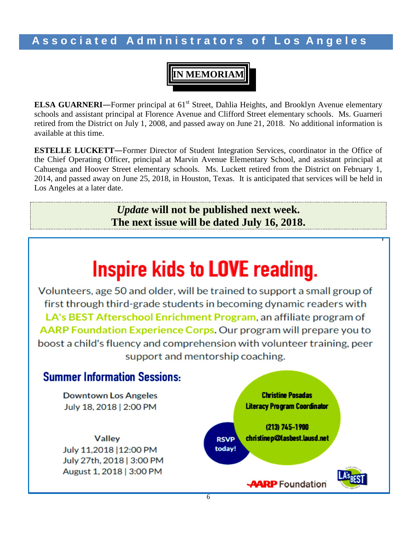**IN MEMORIAM**

**ELSA GUARNERI**—Former principal at 61<sup>st</sup> Street, Dahlia Heights, and Brooklyn Avenue elementary schools and assistant principal at Florence Avenue and Clifford Street elementary schools. Ms. Guarneri retired from the District on July 1, 2008, and passed away on June 21, 2018. No additional information is available at this time.

**ESTELLE LUCKETT**―Former Director of Student Integration Services, coordinator in the Office of the Chief Operating Officer, principal at Marvin Avenue Elementary School, and assistant principal at Cahuenga and Hoover Street elementary schools. Ms. Luckett retired from the District on February 1, 2014, and passed away on June 25, 2018, in Houston, Texas. It is anticipated that services will be held in Los Angeles at a later date.

> *Update* **will not be published next week. The next issue will be dated July 16, 2018.**

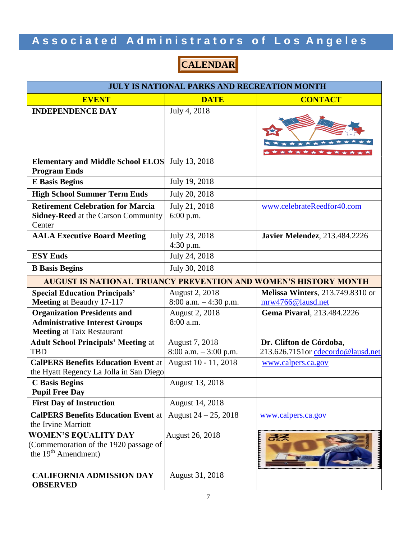## **CALENDAR**

| <b>JULY IS NATIONAL PARKS AND RECREATION MONTH</b>                                                      |                                                              |                                                                                             |  |  |
|---------------------------------------------------------------------------------------------------------|--------------------------------------------------------------|---------------------------------------------------------------------------------------------|--|--|
| <b>EVENT</b>                                                                                            | <b>DATE</b>                                                  | <b>CONTACT</b>                                                                              |  |  |
| <b>INDEPENDENCE DAY</b>                                                                                 | July 4, 2018                                                 | $\star$<br>*******                                                                          |  |  |
| <b>Elementary and Middle School ELOS</b><br><b>Program Ends</b>                                         | July 13, 2018                                                |                                                                                             |  |  |
| <b>E</b> Basis Begins                                                                                   | July 19, 2018                                                |                                                                                             |  |  |
| <b>High School Summer Term Ends</b>                                                                     | July 20, 2018                                                |                                                                                             |  |  |
| <b>Retirement Celebration for Marcia</b><br><b>Sidney-Reed</b> at the Carson Community<br>Center        | July 21, 2018<br>$6:00$ p.m.                                 | www.celebrateReedfor40.com                                                                  |  |  |
| <b>AALA Executive Board Meeting</b>                                                                     | July 23, 2018<br>$4:30$ p.m.                                 | <b>Javier Melendez</b> , 213.484.2226                                                       |  |  |
| <b>ESY Ends</b>                                                                                         | July 24, 2018                                                |                                                                                             |  |  |
| <b>B</b> Basis Begins                                                                                   | July 30, 2018                                                |                                                                                             |  |  |
| <b>AUGUST IS NATIONAL TRUANCY PREVENTION AND WOMEN'S HISTORY MONTH</b>                                  |                                                              |                                                                                             |  |  |
| <b>Special Education Principals'</b><br>Meeting at Beaudry 17-117<br><b>Organization Presidents and</b> | August 2, 2018<br>$8:00$ a.m. $-4:30$ p.m.<br>August 2, 2018 | <b>Melissa Winters</b> , 213.749.8310 or<br>mrw4766@lausd.net<br>Gema Pivaral, 213.484.2226 |  |  |
| <b>Administrative Interest Groups</b><br><b>Meeting at Taix Restaurant</b>                              | 8:00 a.m.                                                    |                                                                                             |  |  |
| <b>Adult School Principals' Meeting at</b><br><b>TBD</b>                                                | August 7, 2018<br>$8:00$ a.m. $-3:00$ p.m.                   | Dr. Clifton de Córdoba,<br>213.626.7151or cdecordo@lausd.net                                |  |  |
| <b>CalPERS Benefits Education Event at</b><br>the Hyatt Regency La Jolla in San Diego                   | August 10 - 11, 2018                                         | www.calpers.ca.gov                                                                          |  |  |
| <b>C</b> Basis Begins<br><b>Pupil Free Day</b>                                                          | August 13, 2018                                              |                                                                                             |  |  |
| <b>First Day of Instruction</b>                                                                         | August 14, 2018                                              |                                                                                             |  |  |
| <b>CalPERS Benefits Education Event at</b><br>the Irvine Marriott                                       | August $24 - 25$ , 2018                                      | www.calpers.ca.gov                                                                          |  |  |
| <b>WOMEN'S EQUALITY DAY</b><br>(Commemoration of the 1920 passage of<br>the $19th$ Amendment)           | August 26, 2018                                              | まえ                                                                                          |  |  |
| <b>CALIFORNIA ADMISSION DAY</b><br><b>OBSERVED</b>                                                      | August 31, 2018                                              |                                                                                             |  |  |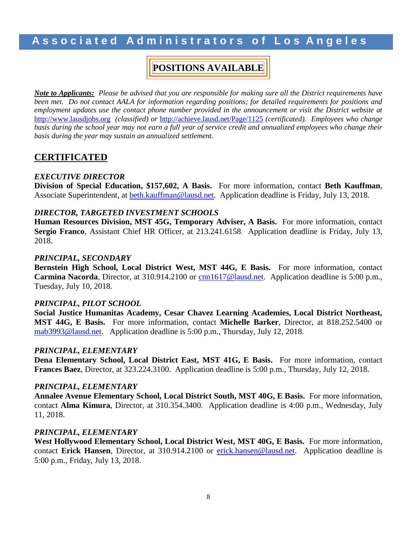### **POSITIONS AVAILABLE**

*Note to Applicants: Please be advised that you are responsible for making sure all the District requirements have been met. Do not contact AALA for information regarding positions; for detailed requirements for positions and employment updates use the contact phone number provided in the announcement or visit the District website at*  [http://www.lausdjobs.org](http://www.lausdjobs.org/) *(classified) or* <http://achieve.lausd.net/Page/1125> *(certificated). Employees who change*  basis during the school year may not earn a full year of service credit and annualized employees who change their *basis during the year may sustain an annualized settlement.*

#### **CERTIFICATED**

#### *EXECUTIVE DIRECTOR*

**Division of Special Education, \$157,602, A Basis.** For more information, contact **Beth Kauffman**, Associate Superintendent, at [beth.kauffman@lausd.net.](mailto:beth.kauffman@lausd.net) Application deadline is Friday, July 13, 2018.

#### *DIRECTOR, TARGETED INVESTMENT SCHOOLS*

**Human Resources Division, MST 45G, Temporary Adviser, A Basis.** For more information, contact **Sergio Franco**, Assistant Chief HR Officer, at 213.241.6158. Application deadline is Friday, July 13, 2018.

#### *PRINCIPAL, SECONDARY*

**Bernstein High School, Local District West, MST 44G, E Basis.** For more information, contact **Carmina Nacorda**, Director, at 310.914.2100 or [cnn1617@lausd.net.](mailto:cnn1617@lausd.net) Application deadline is 5:00 p.m., Tuesday, July 10, 2018.

#### *PRINCIPAL, PILOT SCHOOL*

**Social Justice Humanitas Academy, Cesar Chavez Learning Academies, Local District Northeast, MST 44G, E Basis.** For more information, contact **Michelle Barker**, Director, at 818.252.5400 or [mab3993@lausd.net.](mailto:mab3993@lausd.net) Application deadline is 5:00 p.m., Thursday, July 12, 2018.

#### *PRINCIPAL, ELEMENTARY*

**Dena Elementary School, Local District East, MST 41G, E Basis.** For more information, contact **Frances Baez**, Director, at 323.224.3100. Application deadline is 5:00 p.m., Thursday, July 12, 2018.

#### *PRINCIPAL, ELEMENTARY*

**Annalee Avenue Elementary School, Local District South, MST 40G, E Basis.** For more information, contact **Alma Kimura**, Director, at 310.354.3400. Application deadline is 4:00 p.m., Wednesday, July 11, 2018.

#### *PRINCIPAL, ELEMENTARY*

**West Hollywood Elementary School, Local District West, MST 40G, E Basis.** For more information, contact Erick Hansen, Director, at 310.914.2100 or **erick.hansen@lausd.net**. Application deadline is 5:00 p.m., Friday, July 13, 2018.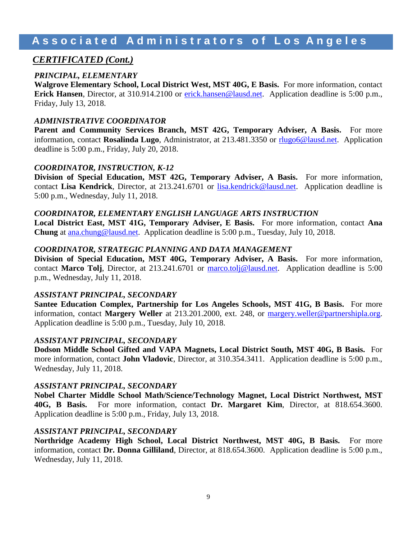#### *CERTIFICATED (Cont.)*

#### *PRINCIPAL, ELEMENTARY*

**Walgrove Elementary School, Local District West, MST 40G, E Basis.** For more information, contact **Erick Hansen**, Director, at 310.914.2100 or [erick.hansen@lausd.net.](mailto:erick.hansen@lausd.net) Application deadline is 5:00 p.m., Friday, July 13, 2018.

#### *ADMINISTRATIVE COORDINATOR*

**Parent and Community Services Branch, MST 42G, Temporary Adviser, A Basis.** For more information, contact **Rosalinda Lugo**, Administrator, at 213.481.3350 or [rlugo6@lausd.net.](mailto:rlugo6@lausd.net) Application deadline is 5:00 p.m., Friday, July 20, 2018.

#### *COORDINATOR, INSTRUCTION, K-12*

**Division of Special Education, MST 42G, Temporary Adviser, A Basis.** For more information, contact **Lisa Kendrick**, Director, at 213.241.6701 or [lisa.kendrick@lausd.net.](mailto:lisa.kendrick@lausd.net) Application deadline is 5:00 p.m., Wednesday, July 11, 2018.

#### *COORDINATOR, ELEMENTARY ENGLISH LANGUAGE ARTS INSTRUCTION*

**Local District East, MST 41G, Temporary Adviser, E Basis.** For more information, contact **Ana Chung** at [ana.chung@lausd.net.](mailto:ana.chung@lausd.net) Application deadline is 5:00 p.m., Tuesday, July 10, 2018.

#### *COORDINATOR, STRATEGIC PLANNING AND DATA MANAGEMENT*

**Division of Special Education, MST 40G, Temporary Adviser, A Basis.** For more information, contact **Marco Tolj**, Director, at 213.241.6701 or [marco.tolj@lausd.net.](mailto:marco.tolj@lausd.net) Application deadline is 5:00 p.m., Wednesday, July 11, 2018.

#### *ASSISTANT PRINCIPAL, SECONDARY*

**Santee Education Complex, Partnership for Los Angeles Schools, MST 41G, B Basis.** For more information, contact **Margery Weller** at 213.201.2000, ext. 248, or [margery.weller@partnershipla.org.](mailto:margery.weller@partnershipla.org) Application deadline is 5:00 p.m., Tuesday, July 10, 2018.

#### *ASSISTANT PRINCIPAL, SECONDARY*

**Dodson Middle School Gifted and VAPA Magnets, Local District South, MST 40G, B Basis.** For more information, contact **John Vladovic**, Director, at 310.354.3411. Application deadline is 5:00 p.m., Wednesday, July 11, 2018.

#### *ASSISTANT PRINCIPAL, SECONDARY*

**Nobel Charter Middle School Math/Science/Technology Magnet, Local District Northwest, MST 40G, B Basis.** For more information, contact **Dr. Margaret Kim**, Director, at 818.654.3600. Application deadline is 5:00 p.m., Friday, July 13, 2018.

#### *ASSISTANT PRINCIPAL, SECONDARY*

**Northridge Academy High School, Local District Northwest, MST 40G, B Basis.** For more information, contact **Dr. Donna Gilliland**, Director, at 818.654.3600. Application deadline is 5:00 p.m., Wednesday, July 11, 2018.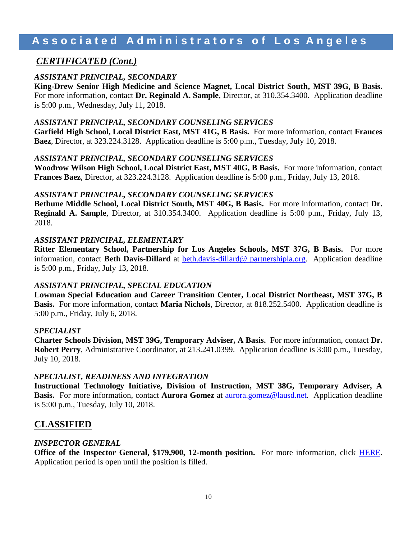#### *CERTIFICATED (Cont.)*

#### *ASSISTANT PRINCIPAL, SECONDARY*

**King-Drew Senior High Medicine and Science Magnet, Local District South, MST 39G, B Basis.**  For more information, contact **Dr. Reginald A. Sample**, Director, at 310.354.3400. Application deadline is 5:00 p.m., Wednesday, July 11, 2018.

#### *ASSISTANT PRINCIPAL, SECONDARY COUNSELING SERVICES*

**Garfield High School, Local District East, MST 41G, B Basis.** For more information, contact **Frances Baez**, Director, at 323.224.3128. Application deadline is 5:00 p.m., Tuesday, July 10, 2018.

#### *ASSISTANT PRINCIPAL, SECONDARY COUNSELING SERVICES*

**Woodrow Wilson High School, Local District East, MST 40G, B Basis.** For more information, contact **Frances Baez**, Director, at 323.224.3128. Application deadline is 5:00 p.m., Friday, July 13, 2018.

#### *ASSISTANT PRINCIPAL, SECONDARY COUNSELING SERVICES*

**Bethune Middle School, Local District South, MST 40G, B Basis.** For more information, contact **Dr. Reginald A. Sample**, Director, at 310.354.3400. Application deadline is 5:00 p.m., Friday, July 13, 2018.

#### *ASSISTANT PRINCIPAL, ELEMENTARY*

**Ritter Elementary School, Partnership for Los Angeles Schools, MST 37G, B Basis.** For more information, contact **Beth Davis-Dillard** at [beth.davis-dillard@ partnershipla.org.](mailto:beth.davis-dillard@%20partnershipla.org) Application deadline is 5:00 p.m., Friday, July 13, 2018.

#### *ASSISTANT PRINCIPAL, SPECIAL EDUCATION*

**Lowman Special Education and Career Transition Center, Local District Northeast, MST 37G, B Basis.** For more information, contact **Maria Nichols**, Director, at 818.252.5400. Application deadline is 5:00 p.m., Friday, July 6, 2018.

#### *SPECIALIST*

**Charter Schools Division, MST 39G, Temporary Adviser, A Basis.** For more information, contact **Dr. Robert Perry**, Administrative Coordinator, at 213.241.0399. Application deadline is 3:00 p.m., Tuesday, July 10, 2018.

#### *SPECIALIST, READINESS AND INTEGRATION*

**Instructional Technology Initiative, Division of Instruction, MST 38G, Temporary Adviser, A Basis.** For more information, contact **Aurora Gomez** at [aurora.gomez@lausd.net.](mailto:aurora.gomez@lausd.net) Application deadline is 5:00 p.m., Tuesday, July 10, 2018.

#### **CLASSIFIED**

#### *INSPECTOR GENERAL*

**Office of the Inspector General, \$179,900, 12-month position.** For more information, click [HERE.](https://btserec.lausd.net/sap/bc/webdynpro/sap/zerwd_a_refcode_srch_int?sap-client=910) Application period is open until the position is filled.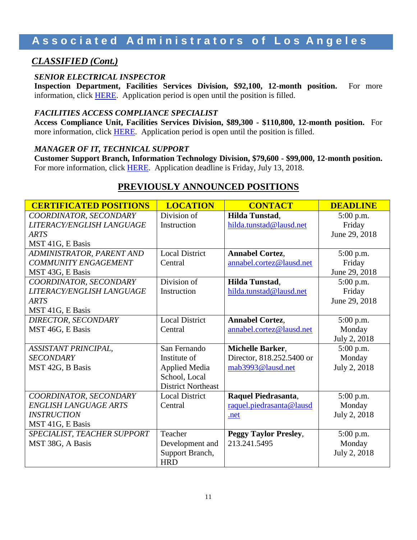### *CLASSIFIED (Cont.)*

#### *SENIOR ELECTRICAL INSPECTOR*

**Inspection Department, Facilities Services Division, \$92,100, 12-month position.** For more information, click [HERE.](https://btserec.lausd.net/sap/bc/webdynpro/sap/zerwd_a_refcode_srch_int?sap-client=910) Application period is open until the position is filled.

#### *FACILITIES ACCESS COMPLIANCE SPECIALIST*

**Access Compliance Unit, Facilities Services Division, \$89,300 - \$110,800, 12-month position.** For more information, click [HERE.](https://btserec.lausd.net/sap/bc/webdynpro/sap/zerwd_a_refcode_srch_int?sap-client=910) Application period is open until the position is filled.

#### *MANAGER OF IT, TECHNICAL SUPPORT*

**Customer Support Branch, Information Technology Division, \$79,600 - \$99,000, 12-month position.**  For more information, click **HERE**. Application deadline is Friday, July 13, 2018.

| <b>CERTIFICATED POSITIONS</b> | <b>LOCATION</b>           | <b>CONTACT</b>               | <b>DEADLINE</b> |
|-------------------------------|---------------------------|------------------------------|-----------------|
| COORDINATOR, SECONDARY        | Division of               | Hilda Tunstad,               | 5:00 p.m.       |
| LITERACY/ENGLISH LANGUAGE     | Instruction               | hilda.tunstad@lausd.net      | Friday          |
| <b>ARTS</b>                   |                           |                              | June 29, 2018   |
| MST 41G, E Basis              |                           |                              |                 |
| ADMINISTRATOR, PARENT AND     | <b>Local District</b>     | <b>Annabel Cortez,</b>       | 5:00 p.m.       |
| <b>COMMUNITY ENGAGEMENT</b>   | Central                   | annabel.cortez@lausd.net     | Friday          |
| MST 43G, E Basis              |                           |                              | June 29, 2018   |
| COORDINATOR, SECONDARY        | Division of               | Hilda Tunstad,               | 5:00 p.m.       |
| LITERACY/ENGLISH LANGUAGE     | Instruction               | hilda.tunstad@lausd.net      | Friday          |
| <b>ARTS</b>                   |                           |                              | June 29, 2018   |
| MST 41G, E Basis              |                           |                              |                 |
| DIRECTOR, SECONDARY           | <b>Local District</b>     | <b>Annabel Cortez,</b>       | 5:00 p.m.       |
| MST 46G, E Basis              | Central                   | annabel.cortez@lausd.net     | Monday          |
|                               |                           |                              | July 2, 2018    |
| ASSISTANT PRINCIPAL,          | San Fernando              | Michelle Barker,             | 5:00 p.m.       |
| <b>SECONDARY</b>              | Institute of              | Director, 818.252.5400 or    | Monday          |
| MST 42G, B Basis              | <b>Applied Media</b>      | mab3993@lausd.net            | July 2, 2018    |
|                               | School, Local             |                              |                 |
|                               | <b>District Northeast</b> |                              |                 |
| COORDINATOR, SECONDARY        | <b>Local District</b>     | Raquel Piedrasanta,          | 5:00 p.m.       |
| <b>ENGLISH LANGUAGE ARTS</b>  | Central                   | raquel.piedrasanta@lausd     | Monday          |
| <b>INSTRUCTION</b>            |                           | .net                         | July 2, 2018    |
| MST 41G, E Basis              |                           |                              |                 |
| SPECIALIST, TEACHER SUPPORT   | Teacher                   | <b>Peggy Taylor Presley,</b> | 5:00 p.m.       |
| MST 38G, A Basis              | Development and           | 213.241.5495                 | Monday          |
|                               | Support Branch,           |                              | July 2, 2018    |
|                               | <b>HRD</b>                |                              |                 |

### **PREVIOUSLY ANNOUNCED POSITIONS**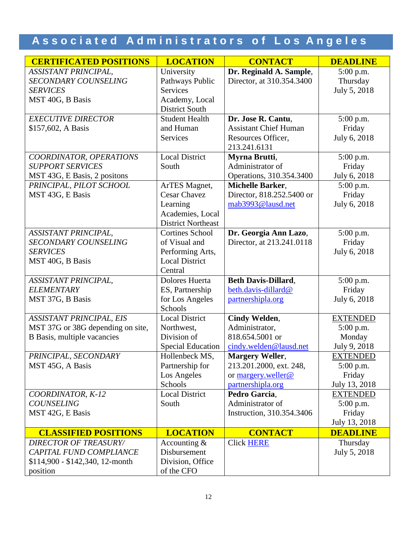| <b>CERTIFICATED POSITIONS</b>     | <b>LOCATION</b>           | <b>CONTACT</b>               | <b>DEADLINE</b> |
|-----------------------------------|---------------------------|------------------------------|-----------------|
| ASSISTANT PRINCIPAL,              | University                | Dr. Reginald A. Sample,      | $5:00$ p.m.     |
| <b>SECONDARY COUNSELING</b>       | Pathways Public           | Director, at 310.354.3400    | Thursday        |
| <b>SERVICES</b>                   | <b>Services</b>           |                              | July 5, 2018    |
| MST 40G, B Basis                  | Academy, Local            |                              |                 |
|                                   | <b>District South</b>     |                              |                 |
| <b>EXECUTIVE DIRECTOR</b>         | <b>Student Health</b>     | Dr. Jose R. Cantu,           | 5:00 p.m.       |
| \$157,602, A Basis                | and Human                 | <b>Assistant Chief Human</b> | Friday          |
|                                   | <b>Services</b>           | Resources Officer,           | July 6, 2018    |
|                                   |                           | 213.241.6131                 |                 |
| COORDINATOR, OPERATIONS           | <b>Local District</b>     | Myrna Brutti,                | 5:00 p.m.       |
| <b>SUPPORT SERVICES</b>           | South                     | Administrator of             | Friday          |
| MST 43G, E Basis, 2 positons      |                           | Operations, 310.354.3400     | July 6, 2018    |
| PRINCIPAL, PILOT SCHOOL           | ArTES Magnet,             | <b>Michelle Barker,</b>      | 5:00 p.m.       |
| MST 43G, E Basis                  | <b>Cesar Chavez</b>       | Director, 818.252.5400 or    | Friday          |
|                                   | Learning                  | mab3993@lausd.net            | July 6, 2018    |
|                                   | Academies, Local          |                              |                 |
|                                   | <b>District Northeast</b> |                              |                 |
| <b>ASSISTANT PRINCIPAL,</b>       | <b>Cortines School</b>    | Dr. Georgia Ann Lazo,        | 5:00 p.m.       |
| <b>SECONDARY COUNSELING</b>       | of Visual and             | Director, at 213.241.0118    | Friday          |
| <b>SERVICES</b>                   | Performing Arts,          |                              | July 6, 2018    |
| MST 40G, B Basis                  | <b>Local District</b>     |                              |                 |
|                                   | Central                   |                              |                 |
| <b>ASSISTANT PRINCIPAL,</b>       | Dolores Huerta            | <b>Beth Davis-Dillard,</b>   | 5:00 p.m.       |
| <b>ELEMENTARY</b>                 | ES, Partnership           | beth.davis-dillard@          | Friday          |
| MST 37G, B Basis                  | for Los Angeles           | partnershipla.org            | July 6, 2018    |
|                                   | Schools                   |                              |                 |
| <b>ASSISTANT PRINCIPAL, EIS</b>   | <b>Local District</b>     | Cindy Welden,                | <b>EXTENDED</b> |
| MST 37G or 38G depending on site, | Northwest,                | Administrator,               | 5:00 p.m.       |
| B Basis, multiple vacancies       | Division of               | 818.654.5001 or              | Monday          |
|                                   | <b>Special Education</b>  | cindy.welden@lausd.net       | July 9, 2018    |
| PRINCIPAL, SECONDARY              | Hollenbeck MS,            | <b>Margery Weller,</b>       | <b>EXTENDED</b> |
| MST 45G, A Basis                  | Partnership for           | 213.201.2000, ext. 248,      | $5:00$ p.m.     |
|                                   | Los Angeles               | or margery.weller@           | Friday          |
|                                   | Schools                   | partnershipla.org            | July 13, 2018   |
| COORDINATOR, K-12                 | <b>Local District</b>     | Pedro Garcia,                | <b>EXTENDED</b> |
| <b>COUNSELING</b>                 | South                     | Administrator of             | $5:00$ p.m.     |
| MST 42G, E Basis                  |                           | Instruction, 310.354.3406    | Friday          |
|                                   |                           |                              | July 13, 2018   |
| <b>CLASSIFIED POSITIONS</b>       | <b>LOCATION</b>           | <b>CONTACT</b>               | <b>DEADLINE</b> |
| <b>DIRECTOR OF TREASURY/</b>      | Accounting &              | <b>Click HERE</b>            | Thursday        |
| CAPITAL FUND COMPLIANCE           | Disbursement              |                              | July 5, 2018    |
| $$114,900 - $142,340, 12$ -month  | Division, Office          |                              |                 |
| position                          | of the CFO                |                              |                 |